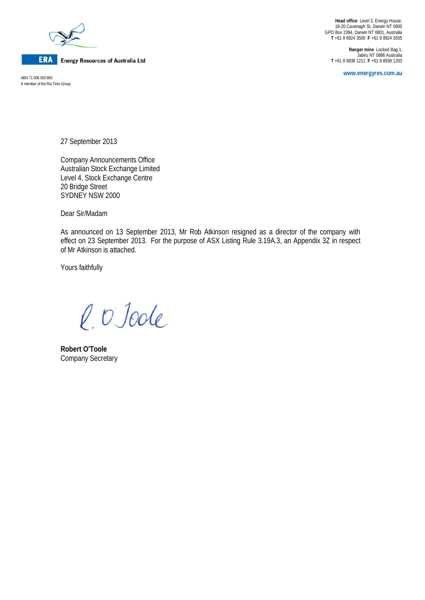

**ERA** Energy Resources of Australia Ltd

A member of the Rio Tinto Group

**Head office** Level 3, Energy House, 18-20 Cavenagh St, Darwin NT 0800 GPO Box 2394, Darwin NT 0801, Australia **T** +61 8 8924 3500 **F** +61 8 8924 3555

**Ranger mine** Locked Bag 1, Jabiru NT 0886 Australia **T** +61 8 8938 1211 **F** +61 8 8938 1203

**www.energyres.com.au** ABN 71 008 550 865

27 September 2013

Company Announcements Office Australian Stock Exchange Limited Level 4, Stock Exchange Centre 20 Bridge Street SYDNEY NSW 2000

Dear Sir/Madam

As announced on 13 September 2013, Mr Rob Atkinson resigned as a director of the company with effect on 23 September 2013. For the purpose of ASX Listing Rule 3.19A.3, an Appendix 3Z in respect of Mr Atkinson is attached.

Yours faithfully

l. O'Joole

**Robert O'Toole** Company Secretary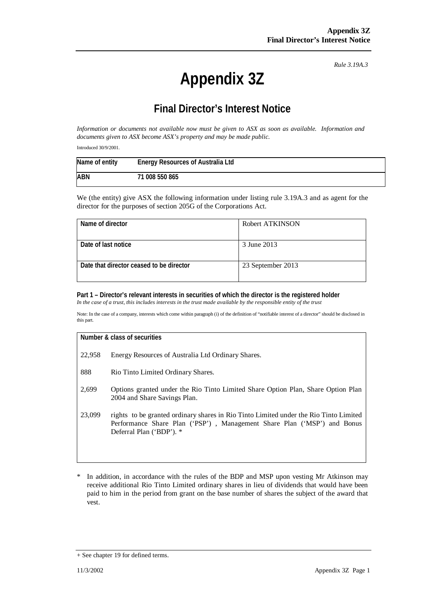*Rule 3.19A.3*

# **Appendix 3Z**

# **Final Director's Interest Notice**

*Information or documents not available now must be given to ASX as soon as available. Information and documents given to ASX become ASX's property and may be made public.*

Introduced 30/9/2001.

| Name of entity | <b>Energy Resources of Australia Ltd</b> |
|----------------|------------------------------------------|
| <b>ABN</b>     | 71 008 550 865                           |

We (the entity) give ASX the following information under listing rule 3.19A.3 and as agent for the director for the purposes of section 205G of the Corporations Act.

| Name of director                         | Robert ATKINSON   |
|------------------------------------------|-------------------|
| Date of last notice                      | 3 June 2013       |
| Date that director ceased to be director | 23 September 2013 |

# **Part 1 – Director's relevant interests in securities of which the director is the registered holder**

*In the case of a trust, this includes interests in the trust made available by the responsible entity of the trust*

Note: In the case of a company, interests which come within paragraph (i) of the definition of "notifiable interest of a director" should be disclosed in this part.

#### **Number & class of securities**

- 22,958 Energy Resources of Australia Ltd Ordinary Shares.
- 888 Rio Tinto Limited Ordinary Shares.
- 2,699 Options granted under the Rio Tinto Limited Share Option Plan, Share Option Plan 2004 and Share Savings Plan.
- 23,099 rights to be granted ordinary shares in Rio Tinto Limited under the Rio Tinto Limited Performance Share Plan ('PSP') , Management Share Plan ('MSP') and Bonus Deferral Plan ('BDP'). \*
- \* In addition, in accordance with the rules of the BDP and MSP upon vesting Mr Atkinson may receive additional Rio Tinto Limited ordinary shares in lieu of dividends that would have been paid to him in the period from grant on the base number of shares the subject of the award that vest.

<sup>+</sup> See chapter 19 for defined terms.